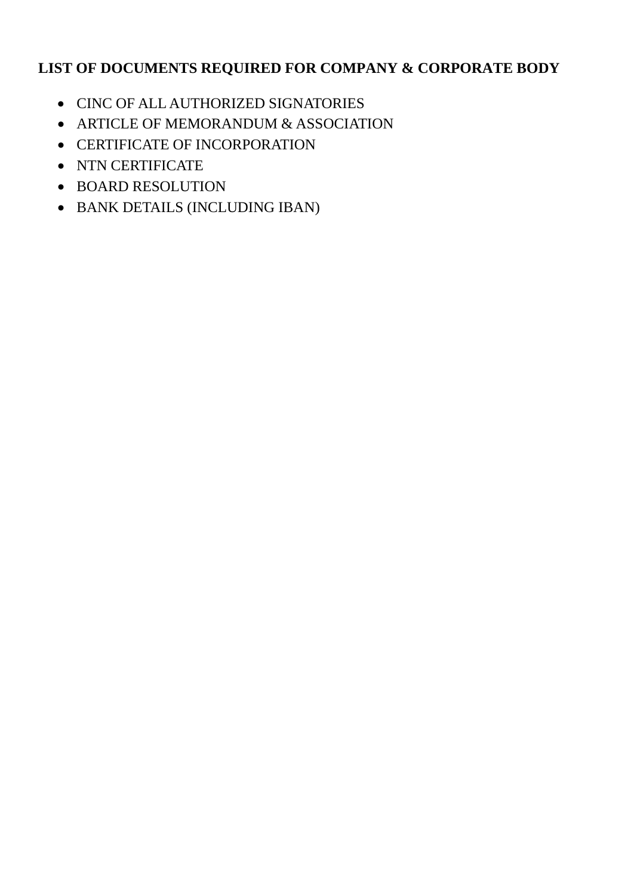# **LIST OF DOCUMENTS REQUIRED FOR COMPANY & CORPORATE BODY**

- CINC OF ALL AUTHORIZED SIGNATORIES
- ARTICLE OF MEMORANDUM & ASSOCIATION
- CERTIFICATE OF INCORPORATION
- NTN CERTIFICATE
- BOARD RESOLUTION
- BANK DETAILS (INCLUDING IBAN)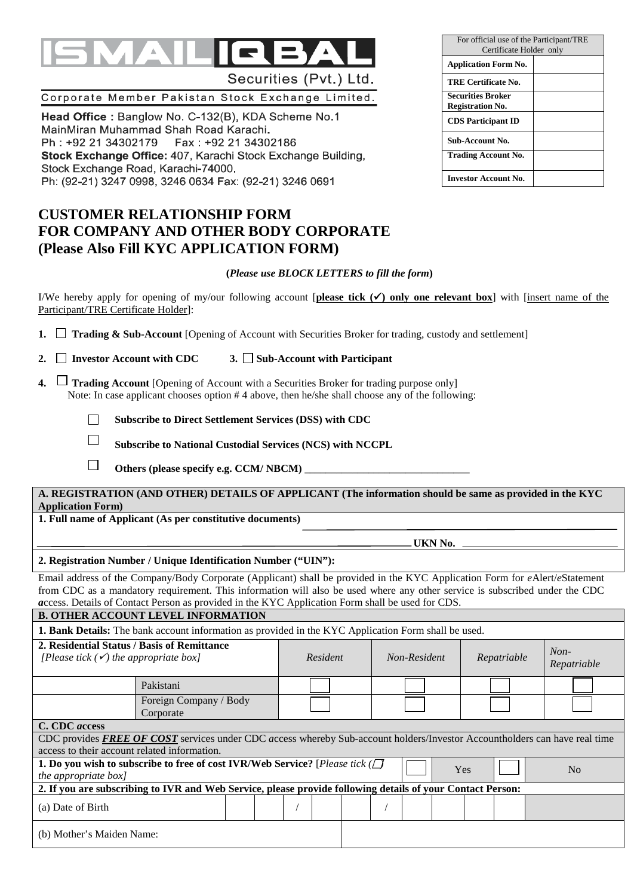# Securities (Pvt.) Ltd.

# Corporate Member Pakistan Stock Exchange Limited.

Head Office: Banglow No. C-132(B), KDA Scheme No.1 MainMiran Muhammad Shah Road Karachi. Ph : +92 21 34302179 Fax : +92 21 34302186 Stock Exchange Office: 407, Karachi Stock Exchange Building, Stock Exchange Road, Karachi-74000. Ph: (92-21) 3247 0998, 3246 0634 Fax: (92-21) 3246 0691

# **CUSTOMER RELATIONSHIP FORM FOR COMPANY AND OTHER BODY CORPORATE (Please Also Fill KYC APPLICATION FORM)**

### **(***Please use BLOCK LETTERS to fill the form***)**

I/We hereby apply for opening of my/our following account **[please tick**  $(\checkmark)$  **only one relevant box**] with [insert name of the Participant/TRE Certificate Holder]:

| 1. $\Box$ Trading & Sub-Account [Opening of Account with Securities Broker for trading, custody and settlement] |  |  |
|-----------------------------------------------------------------------------------------------------------------|--|--|
|-----------------------------------------------------------------------------------------------------------------|--|--|

- 2.  $\Box$  Investor Account with CDC  $\Box$  Sub-Account with Participant
- **4.**  $\Box$  **Trading Account** [Opening of Account with a Securities Broker for trading purpose only] Note: In case applicant chooses option # 4 above, then he/she shall choose any of the following:

 $\Box$ **Subscribe to Direct Settlement Services (DSS) with CDC** 

 $\Box$ **Subscribe to National Custodial Services (NCS) with NCCPL**

 $\Box$ Others (please specify e.g. CCM/ NBCM)

**A. REGISTRATION (AND OTHER) DETAILS OF APPLICANT (The information should be same as provided in the KYC Application Form)**

**1. Full name of Applicant (As per constitutive documents)** 

*<u> UKN No.</u>* 

#### **2. Registration Number / Unique Identification Number ("UIN"):**

Email address of the Company/Body Corporate (Applicant) shall be provided in the KYC Application Form for *e*Alert/*e*Statement from CDC as a mandatory requirement. This information will also be used where any other service is subscribed under the CDC *a*ccess. Details of Contact Person as provided in the KYC Application Form shall be used for CDS.

**B. OTHER ACCOUNT LEVEL INFORMATION**

**1. Bank Details:** The bank account information as provided in the KYC Application Form shall be used.

| 2. Residential Status / Basis of Remittance<br>[Please tick $(\checkmark)$ the appropriate box]            | Resident                                                                                                                   |  | Non-Resident<br>Repatriable |  |     | $Non-$<br>Repatriable |                |  |
|------------------------------------------------------------------------------------------------------------|----------------------------------------------------------------------------------------------------------------------------|--|-----------------------------|--|-----|-----------------------|----------------|--|
|                                                                                                            | Pakistani                                                                                                                  |  |                             |  |     |                       |                |  |
|                                                                                                            | Foreign Company / Body<br>Corporate                                                                                        |  |                             |  |     |                       |                |  |
| C. CDC <i>access</i>                                                                                       |                                                                                                                            |  |                             |  |     |                       |                |  |
|                                                                                                            | CDC provides FREE OF COST services under CDC access whereby Sub-account holders/Investor Accountholders can have real time |  |                             |  |     |                       |                |  |
| access to their account related information.                                                               |                                                                                                                            |  |                             |  |     |                       |                |  |
| <i>the appropriate box]</i>                                                                                | 1. Do you wish to subscribe to free of cost IVR/Web Service? [Please tick ( $\Box$                                         |  |                             |  | Yes |                       | N <sub>0</sub> |  |
| 2. If you are subscribing to IVR and Web Service, please provide following details of your Contact Person: |                                                                                                                            |  |                             |  |     |                       |                |  |
| (a) Date of Birth                                                                                          |                                                                                                                            |  |                             |  |     |                       |                |  |
| (b) Mother's Maiden Name:                                                                                  |                                                                                                                            |  |                             |  |     |                       |                |  |

| For official use of the Participant/TRE<br>Certificate Holder only |  |
|--------------------------------------------------------------------|--|
| <b>Application Form No.</b>                                        |  |
| TRE Certificate No.                                                |  |
| <b>Securities Broker</b><br><b>Registration No.</b>                |  |
| <b>CDS</b> Participant ID                                          |  |
| Sub-Account No.                                                    |  |
| Trading Account No.                                                |  |
| <b>Investor Account No.</b>                                        |  |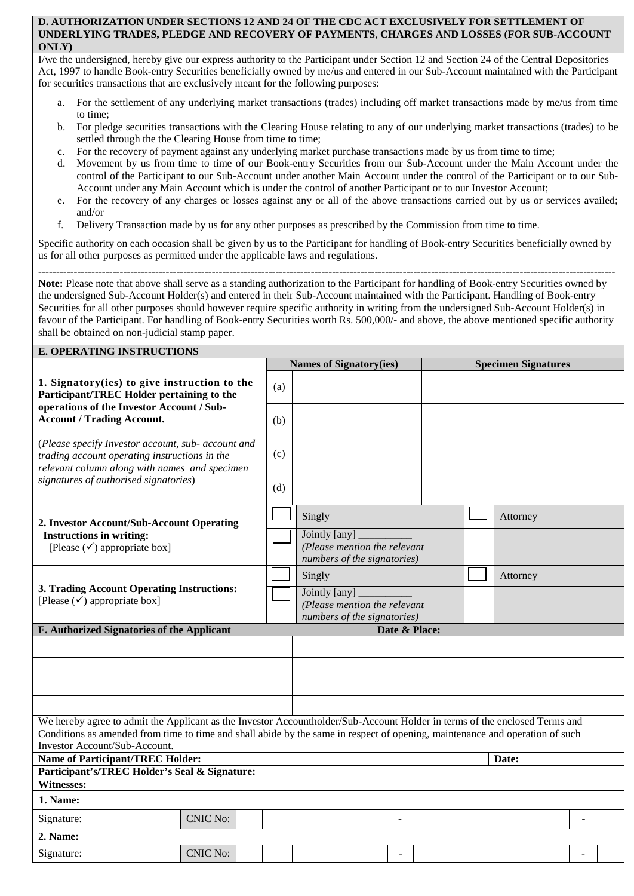#### **D. AUTHORIZATION UNDER SECTIONS 12 AND 24 OF THE CDC ACT EXCLUSIVELY FOR SETTLEMENT OF UNDERLYING TRADES, PLEDGE AND RECOVERY OF PAYMENTS**, **CHARGES AND LOSSES (FOR SUB-ACCOUNT ONLY)**

I/we the undersigned, hereby give our express authority to the Participant under Section 12 and Section 24 of the Central Depositories Act, 1997 to handle Book-entry Securities beneficially owned by me/us and entered in our Sub-Account maintained with the Participant for securities transactions that are exclusively meant for the following purposes:

- a. For the settlement of any underlying market transactions (trades) including off market transactions made by me/us from time to time;
- b. For pledge securities transactions with the Clearing House relating to any of our underlying market transactions (trades) to be settled through the the Clearing House from time to time;
- c. For the recovery of payment against any underlying market purchase transactions made by us from time to time;
- d. Movement by us from time to time of our Book-entry Securities from our Sub-Account under the Main Account under the control of the Participant to our Sub-Account under another Main Account under the control of the Participant or to our Sub-Account under any Main Account which is under the control of another Participant or to our Investor Account;
- e. For the recovery of any charges or losses against any or all of the above transactions carried out by us or services availed; and/or
- f. Delivery Transaction made by us for any other purposes as prescribed by the Commission from time to time.

Specific authority on each occasion shall be given by us to the Participant for handling of Book-entry Securities beneficially owned by us for all other purposes as permitted under the applicable laws and regulations.

**------------------------------------------------------------------------------------------------------------------------------------------------------------------- Note:** Please note that above shall serve as a standing authorization to the Participant for handling of Book-entry Securities owned by the undersigned Sub-Account Holder(s) and entered in their Sub-Account maintained with the Participant. Handling of Book-entry Securities for all other purposes should however require specific authority in writing from the undersigned Sub-Account Holder(s) in favour of the Participant. For handling of Book-entry Securities worth Rs. 500,000/- and above, the above mentioned specific authority shall be obtained on non-judicial stamp paper.

| <b>E. OPERATING INSTRUCTIONS</b>                                                                                                                                                                                                                                                            |                                                  |  |     |        |                                                                              |  |                |  |          |  |          |                            |  |  |  |
|---------------------------------------------------------------------------------------------------------------------------------------------------------------------------------------------------------------------------------------------------------------------------------------------|--------------------------------------------------|--|-----|--------|------------------------------------------------------------------------------|--|----------------|--|----------|--|----------|----------------------------|--|--|--|
|                                                                                                                                                                                                                                                                                             |                                                  |  |     |        | <b>Names of Signatory(ies)</b>                                               |  |                |  |          |  |          | <b>Specimen Signatures</b> |  |  |  |
| 1. Signatory (ies) to give instruction to the<br>Participant/TREC Holder pertaining to the<br>operations of the Investor Account / Sub-                                                                                                                                                     |                                                  |  | (a) |        |                                                                              |  |                |  |          |  |          |                            |  |  |  |
| <b>Account / Trading Account.</b>                                                                                                                                                                                                                                                           |                                                  |  | (b) |        |                                                                              |  |                |  |          |  |          |                            |  |  |  |
| (Please specify Investor account, sub- account and<br>trading account operating instructions in the<br>relevant column along with names and specimen<br>signatures of authorised signatories)                                                                                               |                                                  |  | (c) |        |                                                                              |  |                |  |          |  |          |                            |  |  |  |
|                                                                                                                                                                                                                                                                                             |                                                  |  | (d) |        |                                                                              |  |                |  |          |  |          |                            |  |  |  |
| 2. Investor Account/Sub-Account Operating                                                                                                                                                                                                                                                   |                                                  |  |     |        | Singly                                                                       |  |                |  | Attorney |  |          |                            |  |  |  |
| <b>Instructions in writing:</b><br>[Please $(\checkmark)$ appropriate box]                                                                                                                                                                                                                  |                                                  |  |     |        | Jointly [any]<br>(Please mention the relevant<br>numbers of the signatories) |  |                |  |          |  |          |                            |  |  |  |
| 3. Trading Account Operating Instructions:<br>[Please $(\checkmark)$ appropriate box]                                                                                                                                                                                                       |                                                  |  |     | Singly |                                                                              |  |                |  |          |  | Attorney |                            |  |  |  |
|                                                                                                                                                                                                                                                                                             |                                                  |  |     |        | Jointly [any]<br>(Please mention the relevant<br>numbers of the signatories) |  |                |  |          |  |          |                            |  |  |  |
| F. Authorized Signatories of the Applicant                                                                                                                                                                                                                                                  |                                                  |  |     |        | Date & Place:                                                                |  |                |  |          |  |          |                            |  |  |  |
|                                                                                                                                                                                                                                                                                             |                                                  |  |     |        |                                                                              |  |                |  |          |  |          |                            |  |  |  |
|                                                                                                                                                                                                                                                                                             |                                                  |  |     |        |                                                                              |  |                |  |          |  |          |                            |  |  |  |
|                                                                                                                                                                                                                                                                                             |                                                  |  |     |        |                                                                              |  |                |  |          |  |          |                            |  |  |  |
|                                                                                                                                                                                                                                                                                             |                                                  |  |     |        |                                                                              |  |                |  |          |  |          |                            |  |  |  |
| We hereby agree to admit the Applicant as the Investor Accountholder/Sub-Account Holder in terms of the enclosed Terms and<br>Conditions as amended from time to time and shall abide by the same in respect of opening, maintenance and operation of such<br>Investor Account/Sub-Account. |                                                  |  |     |        |                                                                              |  |                |  |          |  |          |                            |  |  |  |
|                                                                                                                                                                                                                                                                                             | <b>Name of Participant/TREC Holder:</b><br>Date: |  |     |        |                                                                              |  |                |  |          |  |          |                            |  |  |  |
| Participant's/TREC Holder's Seal & Signature:                                                                                                                                                                                                                                               |                                                  |  |     |        |                                                                              |  |                |  |          |  |          |                            |  |  |  |
| Witnesses:                                                                                                                                                                                                                                                                                  |                                                  |  |     |        |                                                                              |  |                |  |          |  |          |                            |  |  |  |
| 1. Name:                                                                                                                                                                                                                                                                                    |                                                  |  |     |        |                                                                              |  |                |  |          |  |          |                            |  |  |  |
| Signature:                                                                                                                                                                                                                                                                                  | <b>CNIC No:</b>                                  |  |     |        |                                                                              |  | $\overline{a}$ |  |          |  |          |                            |  |  |  |
| 2. Name:                                                                                                                                                                                                                                                                                    |                                                  |  |     |        |                                                                              |  |                |  |          |  |          |                            |  |  |  |
| Signature:                                                                                                                                                                                                                                                                                  | <b>CNIC No:</b>                                  |  |     |        |                                                                              |  |                |  |          |  |          |                            |  |  |  |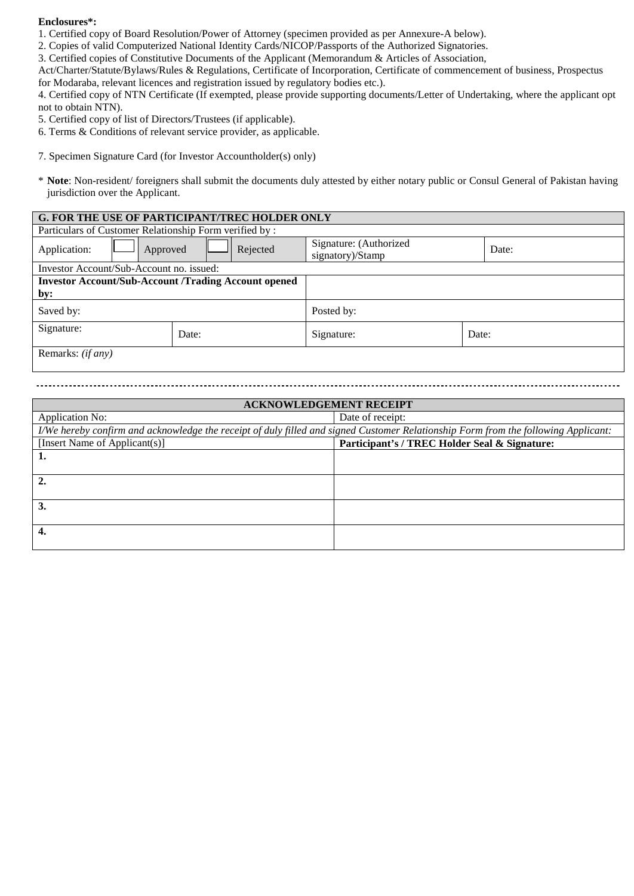#### **Enclosures\*:**

- 1. Certified copy of Board Resolution/Power of Attorney (specimen provided as per Annexure-A below).
- 2. Copies of valid Computerized National Identity Cards/NICOP/Passports of the Authorized Signatories.
- 3. Certified copies of Constitutive Documents of the Applicant (Memorandum & Articles of Association,

Act/Charter/Statute/Bylaws/Rules & Regulations, Certificate of Incorporation, Certificate of commencement of business, Prospectus for Modaraba, relevant licences and registration issued by regulatory bodies etc.).

4. Certified copy of NTN Certificate (If exempted, please provide supporting documents/Letter of Undertaking, where the applicant opt not to obtain NTN).

- 5. Certified copy of list of Directors/Trustees (if applicable).
- 6. Terms & Conditions of relevant service provider, as applicable.
- 7. Specimen Signature Card (for Investor Accountholder(s) only)
- \* **Note**: Non-resident/ foreigners shall submit the documents duly attested by either notary public or Consul General of Pakistan having jurisdiction over the Applicant.

|                                                             | <b>G. FOR THE USE OF PARTICIPANT/TREC HOLDER ONLY</b> |                                            |       |
|-------------------------------------------------------------|-------------------------------------------------------|--------------------------------------------|-------|
| Particulars of Customer Relationship Form verified by :     |                                                       |                                            |       |
| Application:<br>Approved                                    | Rejected                                              | Signature: (Authorized<br>signatory)/Stamp | Date: |
| Investor Account/Sub-Account no. issued:                    |                                                       |                                            |       |
| <b>Investor Account/Sub-Account /Trading Account opened</b> |                                                       |                                            |       |
| by:                                                         |                                                       |                                            |       |
| Saved by:                                                   |                                                       | Posted by:                                 |       |
| Signature:                                                  | Date:                                                 | Signature:                                 | Date: |
| Remarks: <i>(if any)</i>                                    |                                                       |                                            |       |

| <b>ACKNOWLEDGEMENT RECEIPT</b>                                                                                                     |                                               |  |  |  |  |  |
|------------------------------------------------------------------------------------------------------------------------------------|-----------------------------------------------|--|--|--|--|--|
| Application No:                                                                                                                    | Date of receipt:                              |  |  |  |  |  |
| I/We hereby confirm and acknowledge the receipt of duly filled and signed Customer Relationship Form from the following Applicant: |                                               |  |  |  |  |  |
| [Insert Name of Applicant(s)]                                                                                                      | Participant's / TREC Holder Seal & Signature: |  |  |  |  |  |
| ı.                                                                                                                                 |                                               |  |  |  |  |  |
|                                                                                                                                    |                                               |  |  |  |  |  |
| 2.                                                                                                                                 |                                               |  |  |  |  |  |
|                                                                                                                                    |                                               |  |  |  |  |  |
| 3.                                                                                                                                 |                                               |  |  |  |  |  |
|                                                                                                                                    |                                               |  |  |  |  |  |
|                                                                                                                                    |                                               |  |  |  |  |  |
|                                                                                                                                    |                                               |  |  |  |  |  |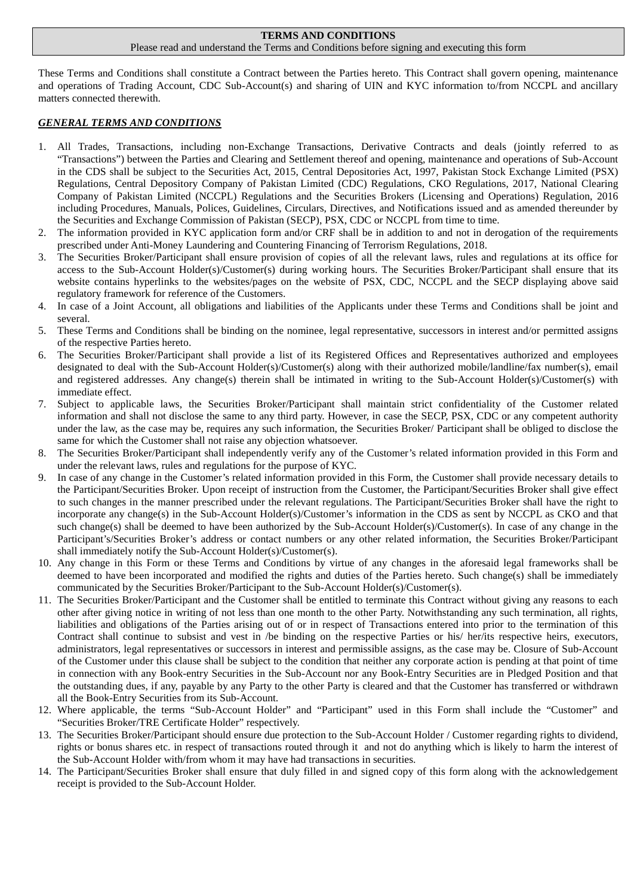## **TERMS AND CONDITIONS**

#### Please read and understand the Terms and Conditions before signing and executing this form

These Terms and Conditions shall constitute a Contract between the Parties hereto. This Contract shall govern opening, maintenance and operations of Trading Account, CDC Sub-Account(s) and sharing of UIN and KYC information to/from NCCPL and ancillary matters connected therewith.

#### *GENERAL TERMS AND CONDITIONS*

- 1. All Trades, Transactions, including non-Exchange Transactions, Derivative Contracts and deals (jointly referred to as "Transactions") between the Parties and Clearing and Settlement thereof and opening, maintenance and operations of Sub-Account in the CDS shall be subject to the Securities Act, 2015, Central Depositories Act, 1997, Pakistan Stock Exchange Limited (PSX) Regulations, Central Depository Company of Pakistan Limited (CDC) Regulations, CKO Regulations, 2017, National Clearing Company of Pakistan Limited (NCCPL) Regulations and the Securities Brokers (Licensing and Operations) Regulation, 2016 including Procedures, Manuals, Polices, Guidelines, Circulars, Directives, and Notifications issued and as amended thereunder by the Securities and Exchange Commission of Pakistan (SECP), PSX, CDC or NCCPL from time to time.
- 2. The information provided in KYC application form and/or CRF shall be in addition to and not in derogation of the requirements prescribed under Anti-Money Laundering and Countering Financing of Terrorism Regulations, 2018.
- 3. The Securities Broker/Participant shall ensure provision of copies of all the relevant laws, rules and regulations at its office for access to the Sub-Account Holder(s)/Customer(s) during working hours. The Securities Broker/Participant shall ensure that its website contains hyperlinks to the websites/pages on the website of PSX, CDC, NCCPL and the SECP displaying above said regulatory framework for reference of the Customers.
- 4. In case of a Joint Account, all obligations and liabilities of the Applicants under these Terms and Conditions shall be joint and several.
- 5. These Terms and Conditions shall be binding on the nominee, legal representative, successors in interest and/or permitted assigns of the respective Parties hereto.
- 6. The Securities Broker/Participant shall provide a list of its Registered Offices and Representatives authorized and employees designated to deal with the Sub-Account Holder(s)/Customer(s) along with their authorized mobile/landline/fax number(s), email and registered addresses. Any change(s) therein shall be intimated in writing to the Sub-Account Holder(s)/Customer(s) with immediate effect.
- 7. Subject to applicable laws, the Securities Broker/Participant shall maintain strict confidentiality of the Customer related information and shall not disclose the same to any third party. However, in case the SECP, PSX, CDC or any competent authority under the law, as the case may be, requires any such information, the Securities Broker/ Participant shall be obliged to disclose the same for which the Customer shall not raise any objection whatsoever.
- 8. The Securities Broker/Participant shall independently verify any of the Customer's related information provided in this Form and under the relevant laws, rules and regulations for the purpose of KYC.
- 9. In case of any change in the Customer's related information provided in this Form, the Customer shall provide necessary details to the Participant/Securities Broker. Upon receipt of instruction from the Customer, the Participant/Securities Broker shall give effect to such changes in the manner prescribed under the relevant regulations. The Participant/Securities Broker shall have the right to incorporate any change(s) in the Sub-Account Holder(s)/Customer's information in the CDS as sent by NCCPL as CKO and that such change(s) shall be deemed to have been authorized by the Sub-Account Holder(s)/Customer(s). In case of any change in the Participant's/Securities Broker's address or contact numbers or any other related information, the Securities Broker/Participant shall immediately notify the Sub-Account Holder(s)/Customer(s).
- 10. Any change in this Form or these Terms and Conditions by virtue of any changes in the aforesaid legal frameworks shall be deemed to have been incorporated and modified the rights and duties of the Parties hereto. Such change(s) shall be immediately communicated by the Securities Broker/Participant to the Sub-Account Holder(s)/Customer(s).
- 11. The Securities Broker/Participant and the Customer shall be entitled to terminate this Contract without giving any reasons to each other after giving notice in writing of not less than one month to the other Party. Notwithstanding any such termination, all rights, liabilities and obligations of the Parties arising out of or in respect of Transactions entered into prior to the termination of this Contract shall continue to subsist and vest in /be binding on the respective Parties or his/ her/its respective heirs, executors, administrators, legal representatives or successors in interest and permissible assigns, as the case may be. Closure of Sub-Account of the Customer under this clause shall be subject to the condition that neither any corporate action is pending at that point of time in connection with any Book-entry Securities in the Sub-Account nor any Book-Entry Securities are in Pledged Position and that the outstanding dues, if any, payable by any Party to the other Party is cleared and that the Customer has transferred or withdrawn all the Book-Entry Securities from its Sub-Account.
- 12. Where applicable, the terms "Sub-Account Holder" and "Participant" used in this Form shall include the "Customer" and "Securities Broker/TRE Certificate Holder" respectively.
- 13. The Securities Broker/Participant should ensure due protection to the Sub-Account Holder / Customer regarding rights to dividend, rights or bonus shares etc. in respect of transactions routed through it and not do anything which is likely to harm the interest of the Sub-Account Holder with/from whom it may have had transactions in securities.
- 14. The Participant/Securities Broker shall ensure that duly filled in and signed copy of this form along with the acknowledgement receipt is provided to the Sub-Account Holder.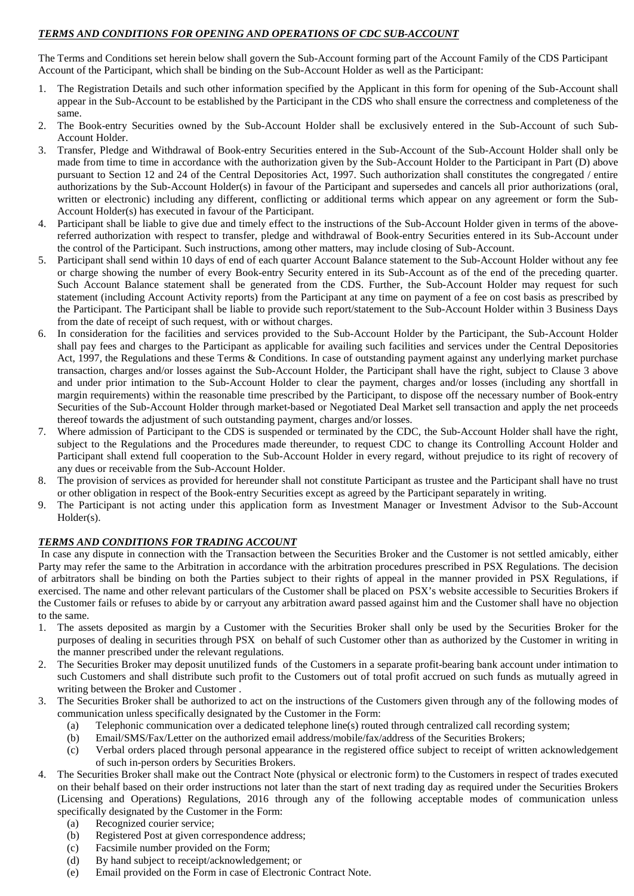## *TERMS AND CONDITIONS FOR OPENING AND OPERATIONS OF CDC SUB-ACCOUNT*

The Terms and Conditions set herein below shall govern the Sub-Account forming part of the Account Family of the CDS Participant Account of the Participant, which shall be binding on the Sub-Account Holder as well as the Participant:

- 1. The Registration Details and such other information specified by the Applicant in this form for opening of the Sub-Account shall appear in the Sub-Account to be established by the Participant in the CDS who shall ensure the correctness and completeness of the same.
- 2. The Book-entry Securities owned by the Sub-Account Holder shall be exclusively entered in the Sub-Account of such Sub-Account Holder.
- 3. Transfer, Pledge and Withdrawal of Book-entry Securities entered in the Sub-Account of the Sub-Account Holder shall only be made from time to time in accordance with the authorization given by the Sub-Account Holder to the Participant in Part (D) above pursuant to Section 12 and 24 of the Central Depositories Act, 1997. Such authorization shall constitutes the congregated / entire authorizations by the Sub-Account Holder(s) in favour of the Participant and supersedes and cancels all prior authorizations (oral, written or electronic) including any different, conflicting or additional terms which appear on any agreement or form the Sub-Account Holder(s) has executed in favour of the Participant.
- 4. Participant shall be liable to give due and timely effect to the instructions of the Sub-Account Holder given in terms of the abovereferred authorization with respect to transfer, pledge and withdrawal of Book-entry Securities entered in its Sub-Account under the control of the Participant. Such instructions, among other matters, may include closing of Sub-Account.
- 5. Participant shall send within 10 days of end of each quarter Account Balance statement to the Sub-Account Holder without any fee or charge showing the number of every Book-entry Security entered in its Sub-Account as of the end of the preceding quarter. Such Account Balance statement shall be generated from the CDS. Further, the Sub-Account Holder may request for such statement (including Account Activity reports) from the Participant at any time on payment of a fee on cost basis as prescribed by the Participant. The Participant shall be liable to provide such report/statement to the Sub-Account Holder within 3 Business Days from the date of receipt of such request, with or without charges.
- 6. In consideration for the facilities and services provided to the Sub-Account Holder by the Participant, the Sub-Account Holder shall pay fees and charges to the Participant as applicable for availing such facilities and services under the Central Depositories Act, 1997, the Regulations and these Terms & Conditions. In case of outstanding payment against any underlying market purchase transaction, charges and/or losses against the Sub-Account Holder, the Participant shall have the right, subject to Clause 3 above and under prior intimation to the Sub-Account Holder to clear the payment, charges and/or losses (including any shortfall in margin requirements) within the reasonable time prescribed by the Participant, to dispose off the necessary number of Book-entry Securities of the Sub-Account Holder through market-based or Negotiated Deal Market sell transaction and apply the net proceeds thereof towards the adjustment of such outstanding payment, charges and/or losses.
- 7. Where admission of Participant to the CDS is suspended or terminated by the CDC, the Sub-Account Holder shall have the right, subject to the Regulations and the Procedures made thereunder, to request CDC to change its Controlling Account Holder and Participant shall extend full cooperation to the Sub-Account Holder in every regard, without prejudice to its right of recovery of any dues or receivable from the Sub-Account Holder.
- 8. The provision of services as provided for hereunder shall not constitute Participant as trustee and the Participant shall have no trust or other obligation in respect of the Book-entry Securities except as agreed by the Participant separately in writing.
- 9. The Participant is not acting under this application form as Investment Manager or Investment Advisor to the Sub-Account Holder(s).

## *TERMS AND CONDITIONS FOR TRADING ACCOUNT*

In case any dispute in connection with the Transaction between the Securities Broker and the Customer is not settled amicably, either Party may refer the same to the Arbitration in accordance with the arbitration procedures prescribed in PSX Regulations. The decision of arbitrators shall be binding on both the Parties subject to their rights of appeal in the manner provided in PSX Regulations, if exercised. The name and other relevant particulars of the Customer shall be placed on PSX's website accessible to Securities Brokers if the Customer fails or refuses to abide by or carryout any arbitration award passed against him and the Customer shall have no objection to the same.

- 1. The assets deposited as margin by a Customer with the Securities Broker shall only be used by the Securities Broker for the purposes of dealing in securities through PSX on behalf of such Customer other than as authorized by the Customer in writing in the manner prescribed under the relevant regulations.
- 2. The Securities Broker may deposit unutilized funds of the Customers in a separate profit-bearing bank account under intimation to such Customers and shall distribute such profit to the Customers out of total profit accrued on such funds as mutually agreed in writing between the Broker and Customer .
- The Securities Broker shall be authorized to act on the instructions of the Customers given through any of the following modes of communication unless specifically designated by the Customer in the Form:
	- (a) Telephonic communication over a dedicated telephone line(s) routed through centralized call recording system;
	- (b) Email/SMS/Fax/Letter on the authorized email address/mobile/fax/address of the Securities Brokers;
	- (c) Verbal orders placed through personal appearance in the registered office subject to receipt of written acknowledgement of such in-person orders by Securities Brokers.
- 4. The Securities Broker shall make out the Contract Note (physical or electronic form) to the Customers in respect of trades executed on their behalf based on their order instructions not later than the start of next trading day as required under the Securities Brokers (Licensing and Operations) Regulations, 2016 through any of the following acceptable modes of communication unless specifically designated by the Customer in the Form:
	- (a) Recognized courier service;
	- (b) Registered Post at given correspondence address;
	- (c) Facsimile number provided on the Form;
	- (d) By hand subject to receipt/acknowledgement; or
	- (e) Email provided on the Form in case of Electronic Contract Note.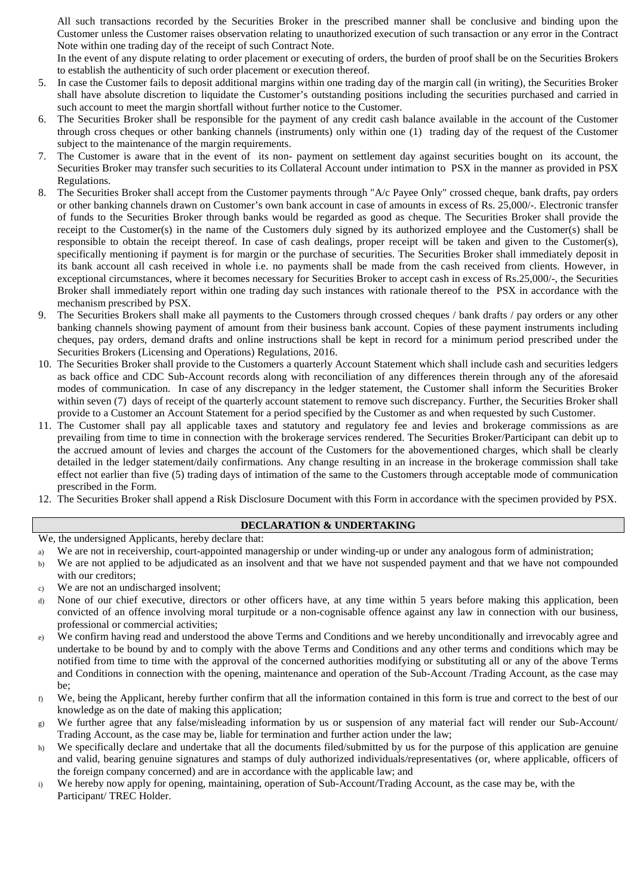All such transactions recorded by the Securities Broker in the prescribed manner shall be conclusive and binding upon the Customer unless the Customer raises observation relating to unauthorized execution of such transaction or any error in the Contract Note within one trading day of the receipt of such Contract Note.

In the event of any dispute relating to order placement or executing of orders, the burden of proof shall be on the Securities Brokers to establish the authenticity of such order placement or execution thereof.

- 5. In case the Customer fails to deposit additional margins within one trading day of the margin call (in writing), the Securities Broker shall have absolute discretion to liquidate the Customer's outstanding positions including the securities purchased and carried in such account to meet the margin shortfall without further notice to the Customer.
- 6. The Securities Broker shall be responsible for the payment of any credit cash balance available in the account of the Customer through cross cheques or other banking channels (instruments) only within one (1) trading day of the request of the Customer subject to the maintenance of the margin requirements.
- 7. The Customer is aware that in the event of its non- payment on settlement day against securities bought on its account, the Securities Broker may transfer such securities to its Collateral Account under intimation to PSX in the manner as provided in PSX Regulations.
- 8. The Securities Broker shall accept from the Customer payments through "A/c Payee Only" crossed cheque, bank drafts, pay orders or other banking channels drawn on Customer's own bank account in case of amounts in excess of Rs. 25,000/-. Electronic transfer of funds to the Securities Broker through banks would be regarded as good as cheque. The Securities Broker shall provide the receipt to the Customer(s) in the name of the Customers duly signed by its authorized employee and the Customer(s) shall be responsible to obtain the receipt thereof. In case of cash dealings, proper receipt will be taken and given to the Customer(s), specifically mentioning if payment is for margin or the purchase of securities. The Securities Broker shall immediately deposit in its bank account all cash received in whole i.e. no payments shall be made from the cash received from clients. However, in exceptional circumstances, where it becomes necessary for Securities Broker to accept cash in excess of Rs.25,000/-, the Securities Broker shall immediately report within one trading day such instances with rationale thereof to the PSX in accordance with the mechanism prescribed by PSX.
- 9. The Securities Brokers shall make all payments to the Customers through crossed cheques / bank drafts / pay orders or any other banking channels showing payment of amount from their business bank account. Copies of these payment instruments including cheques, pay orders, demand drafts and online instructions shall be kept in record for a minimum period prescribed under the Securities Brokers (Licensing and Operations) Regulations, 2016.
- 10. The Securities Broker shall provide to the Customers a quarterly Account Statement which shall include cash and securities ledgers as back office and CDC Sub-Account records along with reconciliation of any differences therein through any of the aforesaid modes of communication. In case of any discrepancy in the ledger statement, the Customer shall inform the Securities Broker within seven (7) days of receipt of the quarterly account statement to remove such discrepancy. Further, the Securities Broker shall provide to a Customer an Account Statement for a period specified by the Customer as and when requested by such Customer.
- 11. The Customer shall pay all applicable taxes and statutory and regulatory fee and levies and brokerage commissions as are prevailing from time to time in connection with the brokerage services rendered. The Securities Broker/Participant can debit up to the accrued amount of levies and charges the account of the Customers for the abovementioned charges, which shall be clearly detailed in the ledger statement/daily confirmations. Any change resulting in an increase in the brokerage commission shall take effect not earlier than five (5) trading days of intimation of the same to the Customers through acceptable mode of communication prescribed in the Form.
- 12. The Securities Broker shall append a Risk Disclosure Document with this Form in accordance with the specimen provided by PSX.

#### **DECLARATION & UNDERTAKING**

We, the undersigned Applicants, hereby declare that:

- a) We are not in receivership, court-appointed managership or under winding-up or under any analogous form of administration;
- b) We are not applied to be adjudicated as an insolvent and that we have not suspended payment and that we have not compounded with our creditors;
- c) We are not an undischarged insolvent;
- d) None of our chief executive, directors or other officers have, at any time within 5 years before making this application, been convicted of an offence involving moral turpitude or a non-cognisable offence against any law in connection with our business, professional or commercial activities;
- e) We confirm having read and understood the above Terms and Conditions and we hereby unconditionally and irrevocably agree and undertake to be bound by and to comply with the above Terms and Conditions and any other terms and conditions which may be notified from time to time with the approval of the concerned authorities modifying or substituting all or any of the above Terms and Conditions in connection with the opening, maintenance and operation of the Sub-Account /Trading Account, as the case may be;
- f) We, being the Applicant, hereby further confirm that all the information contained in this form is true and correct to the best of our knowledge as on the date of making this application;
- g) We further agree that any false/misleading information by us or suspension of any material fact will render our Sub-Account/ Trading Account, as the case may be, liable for termination and further action under the law;
- h) We specifically declare and undertake that all the documents filed/submitted by us for the purpose of this application are genuine and valid, bearing genuine signatures and stamps of duly authorized individuals/representatives (or, where applicable, officers of the foreign company concerned) and are in accordance with the applicable law; and
- i) We hereby now apply for opening, maintaining, operation of Sub-Account/Trading Account, as the case may be, with the Participant/ TREC Holder.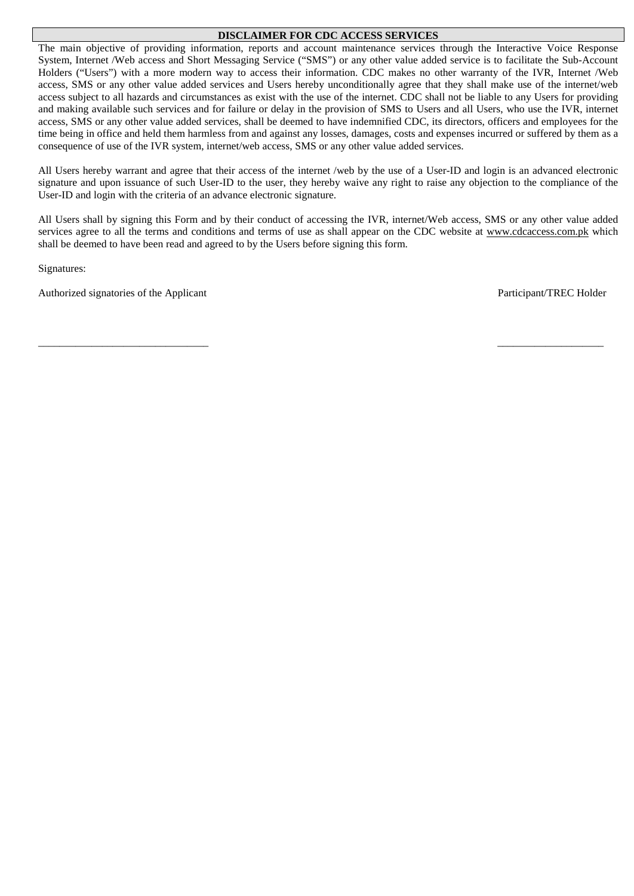#### **DISCLAIMER FOR CDC ACCESS SERVICES**

The main objective of providing information, reports and account maintenance services through the Interactive Voice Response System, Internet /Web access and Short Messaging Service ("SMS") or any other value added service is to facilitate the Sub-Account Holders ("Users") with a more modern way to access their information. CDC makes no other warranty of the IVR, Internet /Web access, SMS or any other value added services and Users hereby unconditionally agree that they shall make use of the internet/web access subject to all hazards and circumstances as exist with the use of the internet. CDC shall not be liable to any Users for providing and making available such services and for failure or delay in the provision of SMS to Users and all Users, who use the IVR, internet access, SMS or any other value added services, shall be deemed to have indemnified CDC, its directors, officers and employees for the time being in office and held them harmless from and against any losses, damages, costs and expenses incurred or suffered by them as a consequence of use of the IVR system, internet/web access, SMS or any other value added services.

All Users hereby warrant and agree that their access of the internet /web by the use of a User-ID and login is an advanced electronic signature and upon issuance of such User-ID to the user, they hereby waive any right to raise any objection to the compliance of the User-ID and login with the criteria of an advance electronic signature.

All Users shall by signing this Form and by their conduct of accessing the IVR, internet/Web access, SMS or any other value added services agree to all the terms and conditions and terms of use as shall appear on the CDC website at [www.cdcaccess.com.pk](http://www.cdcaccess.com.pk/) which shall be deemed to have been read and agreed to by the Users before signing this form.

\_\_\_\_\_\_\_\_\_\_\_\_\_\_\_\_\_\_\_\_\_\_\_\_\_\_\_\_\_\_\_\_ \_\_\_\_\_\_\_\_\_\_\_\_\_\_\_\_\_\_\_\_

Signatures:

Authorized signatories of the Applicant Participant Participant/TREC Holder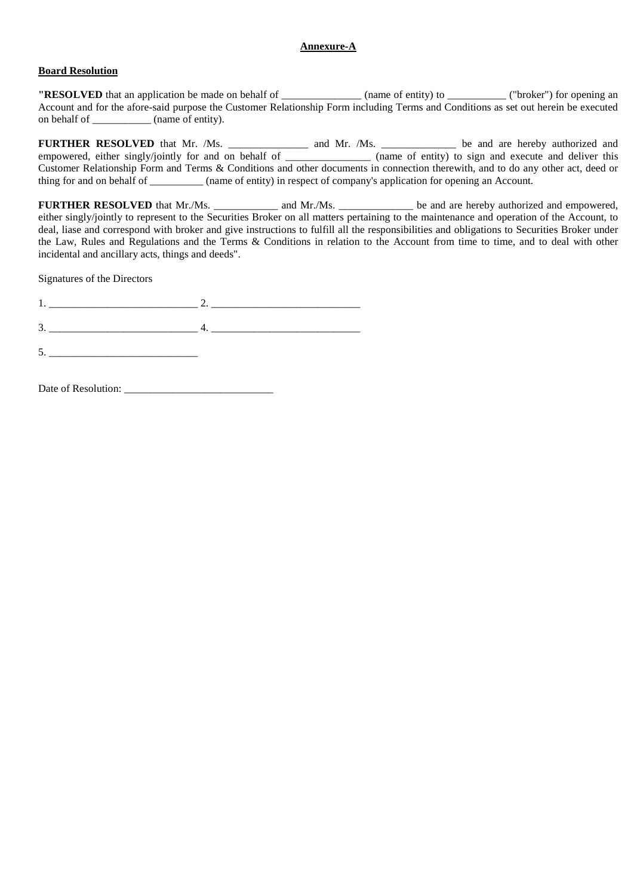#### **Annexure-A**

#### **Board Resolution**

**"RESOLVED** that an application be made on behalf of \_\_\_\_\_\_\_\_\_\_\_\_\_\_ (name of entity) to \_\_\_\_\_\_\_\_\_\_\_\_ ("broker") for opening an Account and for the afore-said purpose the Customer Relationship Form including Terms and Conditions as set out herein be executed on behalf of  $(name of$  (name of entity).

**FURTHER RESOLVED** that Mr. /Ms. \_\_\_\_\_\_\_\_\_\_\_\_\_\_\_ and Mr. /Ms. \_\_\_\_\_\_\_\_\_\_\_\_\_\_ be and are hereby authorized and empowered, either singly/jointly for and on behalf of \_\_\_\_\_\_\_\_\_\_\_\_\_\_\_\_ (name of entity) to sign and execute and deliver this Customer Relationship Form and Terms & Conditions and other documents in connection therewith, and to do any other act, deed or thing for and on behalf of \_\_\_\_\_\_\_\_\_\_ (name of entity) in respect of company's application for opening an Account.

**FURTHER RESOLVED** that Mr./Ms. \_\_\_\_\_\_\_\_\_\_\_\_ and Mr./Ms. \_\_\_\_\_\_\_\_\_\_\_\_\_\_ be and are hereby authorized and empowered, either singly/jointly to represent to the Securities Broker on all matters pertaining to the maintenance and operation of the Account, to deal, liase and correspond with broker and give instructions to fulfill all the responsibilities and obligations to Securities Broker under the Law, Rules and Regulations and the Terms & Conditions in relation to the Account from time to time, and to deal with other incidental and ancillary acts, things and deeds".

Signatures of the Directors

1. \_\_\_\_\_\_\_\_\_\_\_\_\_\_\_\_\_\_\_\_\_\_\_\_\_\_\_\_ 2. \_\_\_\_\_\_\_\_\_\_\_\_\_\_\_\_\_\_\_\_\_\_\_\_\_\_\_\_

 $3.$   $4.$   $4.$ 

 $5.$ 

Date of Resolution: \_\_\_\_\_\_\_\_\_\_\_\_\_\_\_\_\_\_\_\_\_\_\_\_\_\_\_\_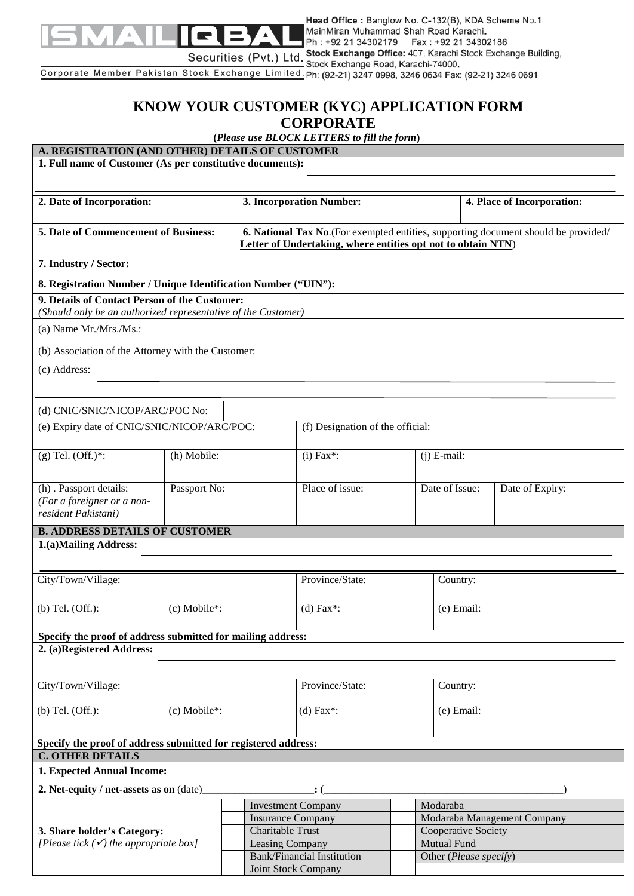

Head Office : Banglow No. C-132(B), KDA Scheme No.1 MainMiran Muhammad Shah Road Karachi. Ph: +92 21 34302179 Fax: +92 21 34302186

Securities (Pvt.) Ltd. Stock Exchange Office: 407, Karachi Stock Exchange Building,<br>Corporate Member Pakistan Stock Exchange Limited. Ph: (92-21) 3247 0998, 3246 0634 Fax: (92-21) 3246 0691

# **KNOW YOUR CUSTOMER (KYC) APPLICATION FORM CORPORATE**

**(***Please use BLOCK LETTERS to fill the form***)**

| A. REGISTRATION (AND OTHER) DETAILS OF CUSTOMER                                           |                            |                           | (Please use BLOCK LETTERS to full the form)                                                                                                         |  |                             |                                              |  |  |  |  |
|-------------------------------------------------------------------------------------------|----------------------------|---------------------------|-----------------------------------------------------------------------------------------------------------------------------------------------------|--|-----------------------------|----------------------------------------------|--|--|--|--|
| 1. Full name of Customer (As per constitutive documents):                                 |                            |                           |                                                                                                                                                     |  |                             |                                              |  |  |  |  |
|                                                                                           |                            |                           |                                                                                                                                                     |  |                             |                                              |  |  |  |  |
|                                                                                           |                            |                           |                                                                                                                                                     |  |                             |                                              |  |  |  |  |
| 2. Date of Incorporation:                                                                 |                            |                           | 3. Incorporation Number:                                                                                                                            |  |                             | 4. Place of Incorporation:                   |  |  |  |  |
| 5. Date of Commencement of Business:                                                      |                            |                           |                                                                                                                                                     |  |                             |                                              |  |  |  |  |
|                                                                                           |                            |                           | 6. National Tax No. (For exempted entities, supporting document should be provided/<br>Letter of Undertaking, where entities opt not to obtain NTN) |  |                             |                                              |  |  |  |  |
| 7. Industry / Sector:                                                                     |                            |                           |                                                                                                                                                     |  |                             |                                              |  |  |  |  |
|                                                                                           |                            |                           |                                                                                                                                                     |  |                             |                                              |  |  |  |  |
| 8. Registration Number / Unique Identification Number ("UIN"):                            |                            |                           |                                                                                                                                                     |  |                             |                                              |  |  |  |  |
| 9. Details of Contact Person of the Customer:                                             |                            |                           |                                                                                                                                                     |  |                             |                                              |  |  |  |  |
| (Should only be an authorized representative of the Customer)                             |                            |                           |                                                                                                                                                     |  |                             |                                              |  |  |  |  |
| (a) Name $Mr.Mrs.Ms.$ :                                                                   |                            |                           |                                                                                                                                                     |  |                             |                                              |  |  |  |  |
| (b) Association of the Attorney with the Customer:                                        |                            |                           |                                                                                                                                                     |  |                             |                                              |  |  |  |  |
| (c) Address:                                                                              |                            |                           |                                                                                                                                                     |  |                             |                                              |  |  |  |  |
|                                                                                           |                            |                           |                                                                                                                                                     |  |                             |                                              |  |  |  |  |
|                                                                                           |                            |                           |                                                                                                                                                     |  |                             |                                              |  |  |  |  |
| (d) CNIC/SNIC/NICOP/ARC/POC No:                                                           |                            |                           |                                                                                                                                                     |  |                             |                                              |  |  |  |  |
| (e) Expiry date of CNIC/SNIC/NICOP/ARC/POC:                                               |                            |                           | (f) Designation of the official:                                                                                                                    |  |                             |                                              |  |  |  |  |
|                                                                                           |                            |                           |                                                                                                                                                     |  |                             |                                              |  |  |  |  |
| $(g)$ Tel. $(Off.)^*$ :                                                                   | (h) Mobile:                |                           | $(i)$ Fax*:                                                                                                                                         |  | $(i)$ E-mail:               |                                              |  |  |  |  |
|                                                                                           |                            |                           |                                                                                                                                                     |  |                             |                                              |  |  |  |  |
| (h) . Passport details:                                                                   | Passport No:               |                           | Place of issue:                                                                                                                                     |  | Date of Issue:              | Date of Expiry:                              |  |  |  |  |
| (For a foreigner or a non-                                                                |                            |                           |                                                                                                                                                     |  |                             |                                              |  |  |  |  |
| resident Pakistani)                                                                       |                            |                           |                                                                                                                                                     |  |                             |                                              |  |  |  |  |
| <b>B. ADDRESS DETAILS OF CUSTOMER</b>                                                     |                            |                           |                                                                                                                                                     |  |                             |                                              |  |  |  |  |
| 1.(a)Mailing Address:                                                                     |                            |                           |                                                                                                                                                     |  |                             |                                              |  |  |  |  |
|                                                                                           |                            |                           |                                                                                                                                                     |  |                             |                                              |  |  |  |  |
| City/Town/Village:                                                                        |                            |                           | Province/State:                                                                                                                                     |  | Country:                    |                                              |  |  |  |  |
|                                                                                           |                            |                           |                                                                                                                                                     |  |                             |                                              |  |  |  |  |
| $(b)$ Tel. $(Off.)$ :                                                                     | (c) Mobile*:               |                           | $(d)$ Fax*:                                                                                                                                         |  | (e) Email:                  |                                              |  |  |  |  |
|                                                                                           |                            |                           |                                                                                                                                                     |  |                             |                                              |  |  |  |  |
| Specify the proof of address submitted for mailing address:                               |                            |                           |                                                                                                                                                     |  |                             |                                              |  |  |  |  |
| 2. (a)Registered Address:                                                                 |                            |                           |                                                                                                                                                     |  |                             |                                              |  |  |  |  |
|                                                                                           |                            |                           |                                                                                                                                                     |  |                             |                                              |  |  |  |  |
| City/Town/Village:                                                                        |                            |                           | Province/State:                                                                                                                                     |  | Country:                    |                                              |  |  |  |  |
|                                                                                           |                            |                           |                                                                                                                                                     |  |                             |                                              |  |  |  |  |
| $(b)$ Tel. $(Off.)$ :                                                                     | (c) Mobile*:               |                           | $(d)$ Fax*:<br>(e) Email:                                                                                                                           |  |                             |                                              |  |  |  |  |
|                                                                                           |                            |                           |                                                                                                                                                     |  |                             |                                              |  |  |  |  |
| Specify the proof of address submitted for registered address:<br><b>C. OTHER DETAILS</b> |                            |                           |                                                                                                                                                     |  |                             |                                              |  |  |  |  |
| 1. Expected Annual Income:                                                                |                            |                           |                                                                                                                                                     |  |                             |                                              |  |  |  |  |
|                                                                                           |                            |                           |                                                                                                                                                     |  |                             |                                              |  |  |  |  |
| 2. Net-equity / net-assets as on (date)                                                   |                            |                           |                                                                                                                                                     |  |                             |                                              |  |  |  |  |
|                                                                                           |                            | <b>Investment Company</b> |                                                                                                                                                     |  | Modaraba                    |                                              |  |  |  |  |
|                                                                                           |                            | <b>Insurance Company</b>  |                                                                                                                                                     |  | Modaraba Management Company |                                              |  |  |  |  |
| 3. Share holder's Category:<br>[Please tick $(\checkmark)$ the appropriate box]           |                            | <b>Charitable Trust</b>   |                                                                                                                                                     |  | Cooperative Society         |                                              |  |  |  |  |
|                                                                                           |                            |                           | Leasing Company<br><b>Bank/Financial Institution</b>                                                                                                |  |                             | <b>Mutual Fund</b><br>Other (Please specify) |  |  |  |  |
|                                                                                           | <b>Joint Stock Company</b> |                           |                                                                                                                                                     |  |                             |                                              |  |  |  |  |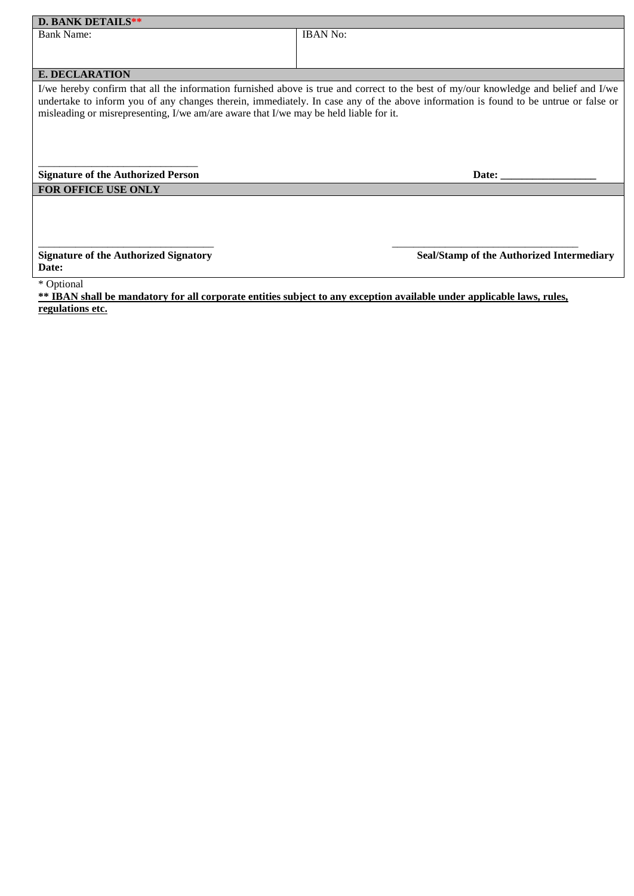| <b>IBAN No:</b>                                                                                                                                                                                                                                                                                                                                                      |
|----------------------------------------------------------------------------------------------------------------------------------------------------------------------------------------------------------------------------------------------------------------------------------------------------------------------------------------------------------------------|
|                                                                                                                                                                                                                                                                                                                                                                      |
|                                                                                                                                                                                                                                                                                                                                                                      |
|                                                                                                                                                                                                                                                                                                                                                                      |
|                                                                                                                                                                                                                                                                                                                                                                      |
| I/we hereby confirm that all the information furnished above is true and correct to the best of my/our knowledge and belief and I/we<br>undertake to inform you of any changes therein, immediately. In case any of the above information is found to be untrue or false or<br>misleading or misrepresenting, I/we am/are aware that I/we may be held liable for it. |
| Date:                                                                                                                                                                                                                                                                                                                                                                |
|                                                                                                                                                                                                                                                                                                                                                                      |
|                                                                                                                                                                                                                                                                                                                                                                      |
|                                                                                                                                                                                                                                                                                                                                                                      |

**Date:** 

**Signature of the Authorized Signatory Seal/Stamp of the Authorized Intermediary** 

\* Optional

**\*\* IBAN shall be mandatory for all corporate entities subject to any exception available under applicable laws, rules, regulations etc.**